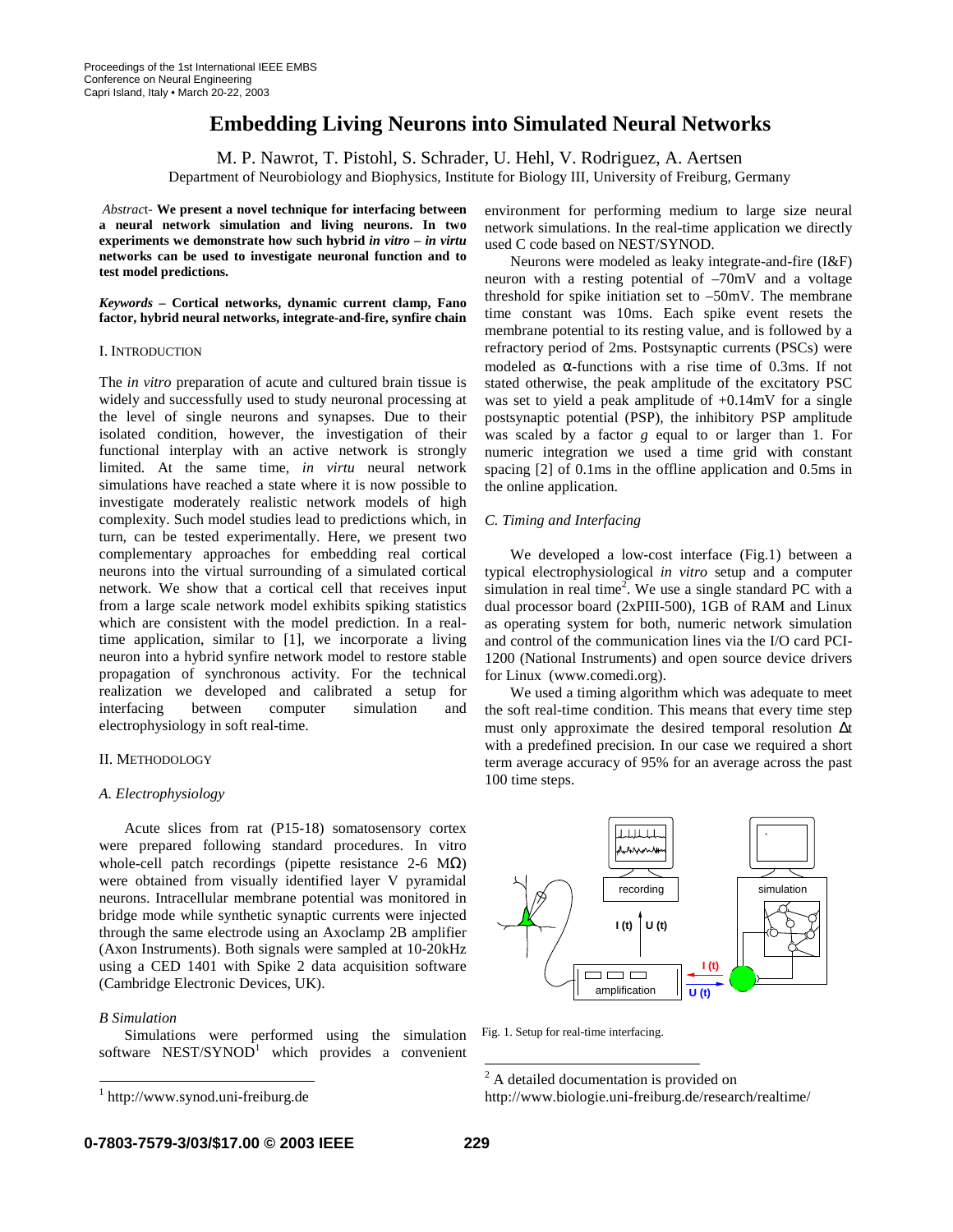# **Embedding Living Neurons into Simulated Neural Networks**

M. P. Nawrot, T. Pistohl, S. Schrader, U. Hehl, V. Rodriguez, A. Aertsen

Department of Neurobiology and Biophysics, Institute for Biology III, University of Freiburg, Germany

*Abstrac*t- **We present a novel technique for interfacing between a neural network simulation and living neurons. In two experiments we demonstrate how such hybrid** *in vitro* **–** *in virtu* **networks can be used to investigate neuronal function and to test model predictions.**

*Keywords –* **Cortical networks, dynamic current clamp, Fano factor, hybrid neural networks, integrate-and-fire, synfire chain**

## I. INTRODUCTION

The *in vitro* preparation of acute and cultured brain tissue is widely and successfully used to study neuronal processing at the level of single neurons and synapses. Due to their isolated condition, however, the investigation of their functional interplay with an active network is strongly limited. At the same time, *in virtu* neural network simulations have reached a state where it is now possible to investigate moderately realistic network models of high complexity. Such model studies lead to predictions which, in turn, can be tested experimentally. Here, we present two complementary approaches for embedding real cortical neurons into the virtual surrounding of a simulated cortical network. We show that a cortical cell that receives input from a large scale network model exhibits spiking statistics which are consistent with the model prediction. In a realtime application, similar to [1], we incorporate a living neuron into a hybrid synfire network model to restore stable propagation of synchronous activity. For the technical realization we developed and calibrated a setup for interfacing between computer simulation and electrophysiology in soft real-time.

## II. METHODOLOGY

## *A. Electrophysiology*

Acute slices from rat (P15-18) somatosensory cortex were prepared following standard procedures. In vitro whole-cell patch recordings (pipette resistance 2-6 M $\Omega$ ) were obtained from visually identified layer V pyramidal neurons. Intracellular membrane potential was monitored in bridge mode while synthetic synaptic currents were injected through the same electrode using an Axoclamp 2B amplifier (Axon Instruments). Both signals were sampled at 10-20kHz using a CED 1401 with Spike 2 data acquisition software (Cambridge Electronic Devices, UK).

# *B Simulation*

Simulations were performed using the simulation software NEST/SYNOD<sup>1</sup> which provides a convenient

environment for performing medium to large size neural network simulations. In the real-time application we directly used C code based on NEST/SYNOD.

Neurons were modeled as leaky integrate-and-fire (I&F) neuron with a resting potential of –70mV and a voltage threshold for spike initiation set to –50mV. The membrane time constant was 10ms. Each spike event resets the membrane potential to its resting value, and is followed by a refractory period of 2ms. Postsynaptic currents (PSCs) were modeled as α-functions with a rise time of 0.3ms. If not stated otherwise, the peak amplitude of the excitatory PSC was set to yield a peak amplitude of +0.14mV for a single postsynaptic potential (PSP), the inhibitory PSP amplitude was scaled by a factor *g* equal to or larger than 1. For numeric integration we used a time grid with constant spacing [2] of 0.1ms in the offline application and 0.5ms in the online application.

## *C. Timing and Interfacing*

We developed a low-cost interface (Fig.1) between a typical electrophysiological *in vitro* setup and a computer simulation in real time<sup>2</sup>. We use a single standard PC with a dual processor board (2xPIII-500), 1GB of RAM and Linux as operating system for both, numeric network simulation and control of the communication lines via the I/O card PCI-1200 (National Instruments) and open source device drivers for Linux (www.comedi.org).

We used a timing algorithm which was adequate to meet the soft real-time condition. This means that every time step must only approximate the desired temporal resolution ∆t with a predefined precision. In our case we required a short term average accuracy of 95% for an average across the past 100 time steps.



Fig. 1. Setup for real-time interfacing.

http://www.biologie.uni-freiburg.de/research/realtime/

<sup>1</sup> http://www.synod.uni-freiburg.de

<sup>&</sup>lt;sup>2</sup> A detailed documentation is provided on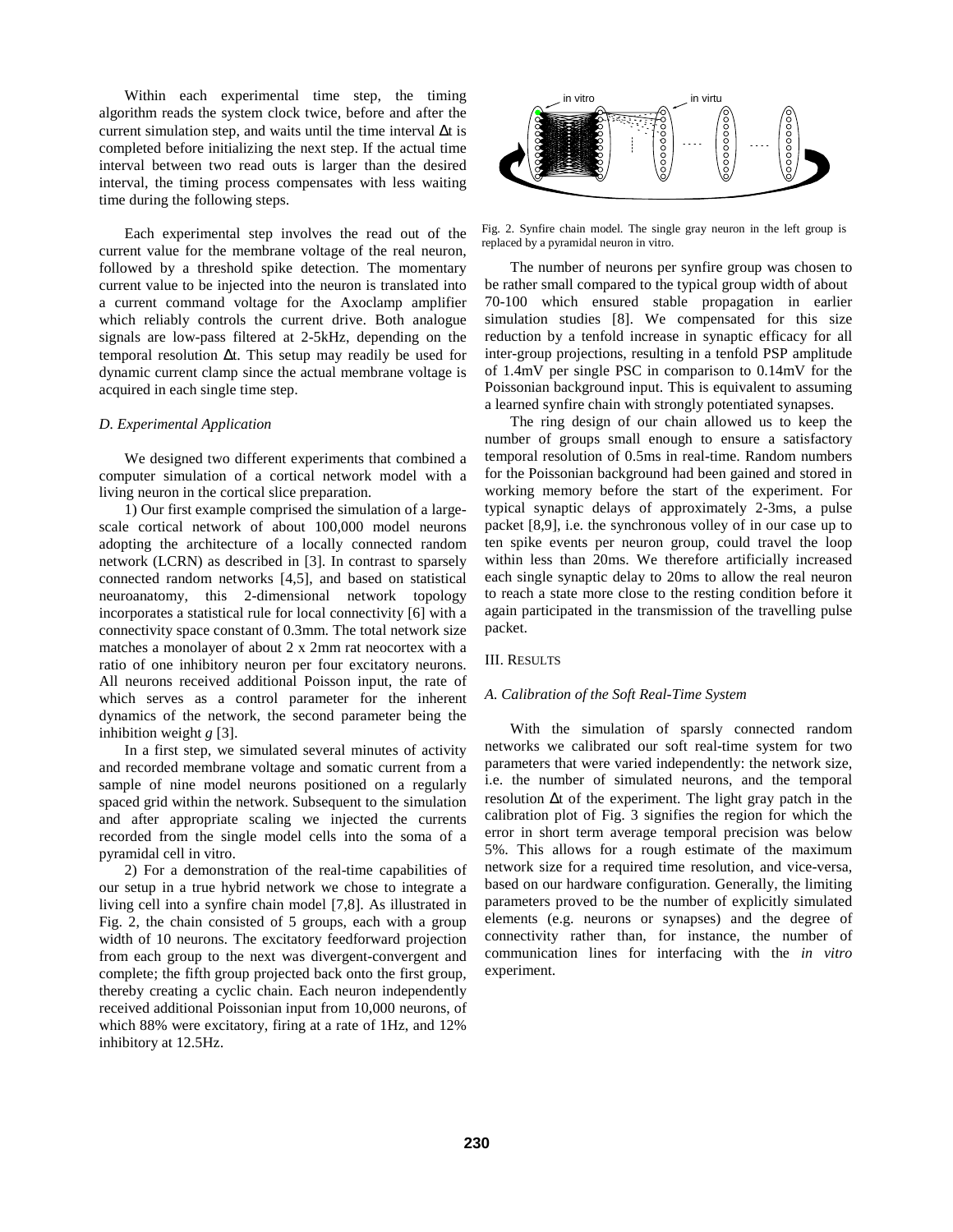Within each experimental time step, the timing algorithm reads the system clock twice, before and after the current simulation step, and waits until the time interval ∆t is completed before initializing the next step. If the actual time interval between two read outs is larger than the desired interval, the timing process compensates with less waiting time during the following steps.

Each experimental step involves the read out of the current value for the membrane voltage of the real neuron, followed by a threshold spike detection. The momentary current value to be injected into the neuron is translated into a current command voltage for the Axoclamp amplifier which reliably controls the current drive. Both analogue signals are low-pass filtered at 2-5kHz, depending on the temporal resolution ∆t. This setup may readily be used for dynamic current clamp since the actual membrane voltage is acquired in each single time step.

#### *D. Experimental Application*

We designed two different experiments that combined a computer simulation of a cortical network model with a living neuron in the cortical slice preparation.

1) Our first example comprised the simulation of a largescale cortical network of about 100,000 model neurons adopting the architecture of a locally connected random network (LCRN) as described in [3]. In contrast to sparsely connected random networks [4,5], and based on statistical neuroanatomy, this 2-dimensional network topology incorporates a statistical rule for local connectivity [6] with a connectivity space constant of 0.3mm. The total network size matches a monolayer of about 2 x 2mm rat neocortex with a ratio of one inhibitory neuron per four excitatory neurons. All neurons received additional Poisson input, the rate of which serves as a control parameter for the inherent dynamics of the network, the second parameter being the inhibition weight *g* [3].

In a first step, we simulated several minutes of activity and recorded membrane voltage and somatic current from a sample of nine model neurons positioned on a regularly spaced grid within the network. Subsequent to the simulation and after appropriate scaling we injected the currents recorded from the single model cells into the soma of a pyramidal cell in vitro.

2) For a demonstration of the real-time capabilities of our setup in a true hybrid network we chose to integrate a living cell into a synfire chain model [7,8]. As illustrated in Fig. 2, the chain consisted of 5 groups, each with a group width of 10 neurons. The excitatory feedforward projection from each group to the next was divergent-convergent and complete; the fifth group projected back onto the first group, thereby creating a cyclic chain. Each neuron independently received additional Poissonian input from 10,000 neurons, of which 88% were excitatory, firing at a rate of 1Hz, and 12% inhibitory at 12.5Hz.



Fig. 2. Synfire chain model. The single gray neuron in the left group is replaced by a pyramidal neuron in vitro.

The number of neurons per synfire group was chosen to be rather small compared to the typical group width of about 70-100 which ensured stable propagation in earlier simulation studies [8]. We compensated for this size reduction by a tenfold increase in synaptic efficacy for all inter-group projections, resulting in a tenfold PSP amplitude of 1.4mV per single PSC in comparison to 0.14mV for the Poissonian background input. This is equivalent to assuming a learned synfire chain with strongly potentiated synapses.

The ring design of our chain allowed us to keep the number of groups small enough to ensure a satisfactory temporal resolution of 0.5ms in real-time. Random numbers for the Poissonian background had been gained and stored in working memory before the start of the experiment. For typical synaptic delays of approximately 2-3ms, a pulse packet [8,9], i.e. the synchronous volley of in our case up to ten spike events per neuron group, could travel the loop within less than 20ms. We therefore artificially increased each single synaptic delay to 20ms to allow the real neuron to reach a state more close to the resting condition before it again participated in the transmission of the travelling pulse packet.

#### III. RESULTS

## *A. Calibration of the Soft Real-Time System*

With the simulation of sparsly connected random networks we calibrated our soft real-time system for two parameters that were varied independently: the network size, i.e. the number of simulated neurons, and the temporal resolution ∆t of the experiment. The light gray patch in the calibration plot of Fig. 3 signifies the region for which the error in short term average temporal precision was below 5%. This allows for a rough estimate of the maximum network size for a required time resolution, and vice-versa, based on our hardware configuration. Generally, the limiting parameters proved to be the number of explicitly simulated elements (e.g. neurons or synapses) and the degree of connectivity rather than, for instance, the number of communication lines for interfacing with the *in vitro* experiment.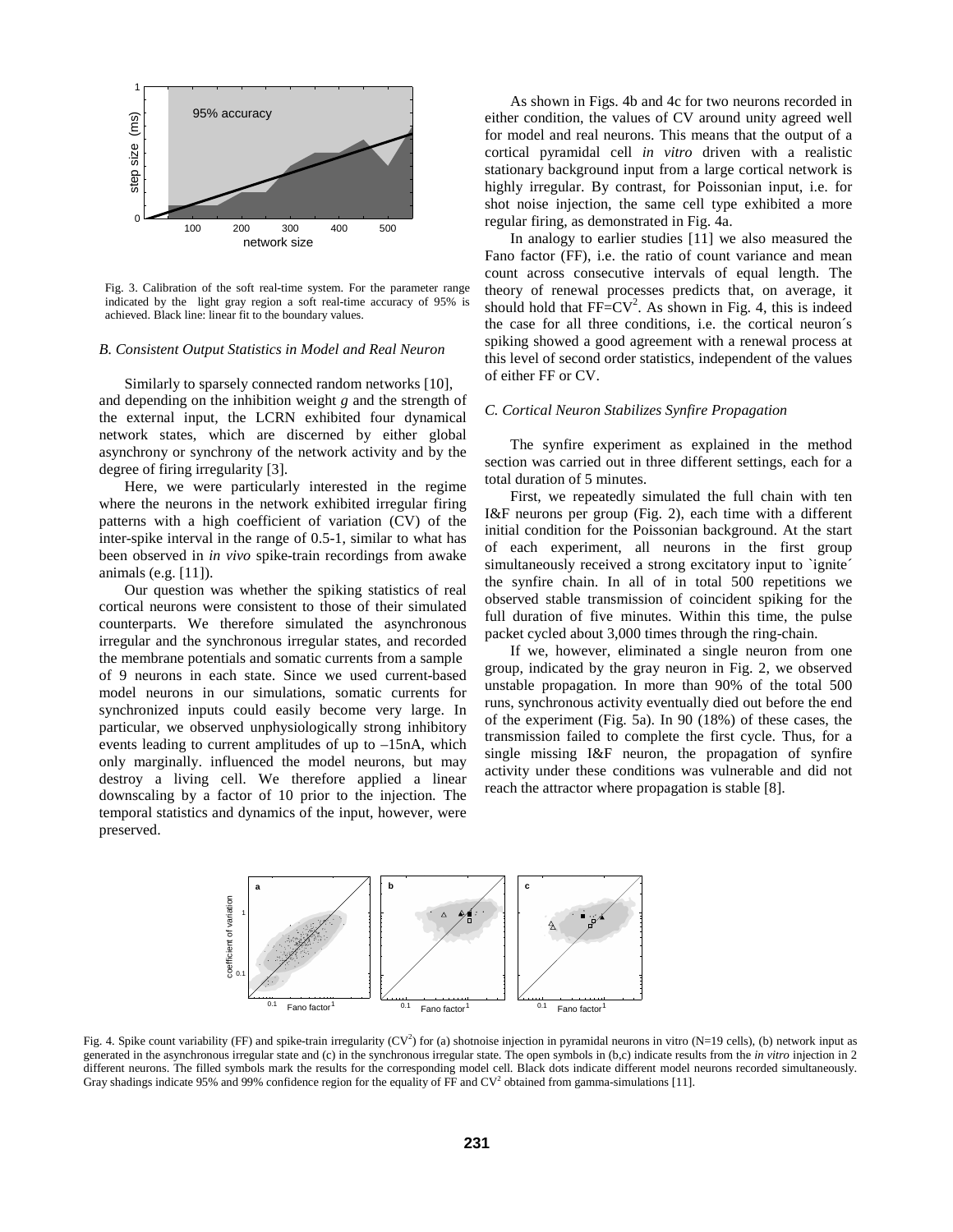

Fig. 3. Calibration of the soft real-time system. For the parameter range indicated by the light gray region a soft real-time accuracy of 95% is achieved. Black line: linear fit to the boundary values.

## *B. Consistent Output Statistics in Model and Real Neuron*

Similarly to sparsely connected random networks [10], and depending on the inhibition weight *g* and the strength of the external input, the LCRN exhibited four dynamical network states, which are discerned by either global asynchrony or synchrony of the network activity and by the degree of firing irregularity [3].

Here, we were particularly interested in the regime where the neurons in the network exhibited irregular firing patterns with a high coefficient of variation (CV) of the inter-spike interval in the range of 0.5-1, similar to what has been observed in *in vivo* spike-train recordings from awake animals (e.g. [11]).

Our question was whether the spiking statistics of real cortical neurons were consistent to those of their simulated counterparts. We therefore simulated the asynchronous irregular and the synchronous irregular states, and recorded the membrane potentials and somatic currents from a sample of 9 neurons in each state. Since we used current-based model neurons in our simulations, somatic currents for synchronized inputs could easily become very large. In particular, we observed unphysiologically strong inhibitory events leading to current amplitudes of up to –15nA, which only marginally. influenced the model neurons, but may destroy a living cell. We therefore applied a linear downscaling by a factor of 10 prior to the injection. The temporal statistics and dynamics of the input, however, were preserved.

As shown in Figs. 4b and 4c for two neurons recorded in either condition, the values of CV around unity agreed well for model and real neurons. This means that the output of a cortical pyramidal cell *in vitro* driven with a realistic stationary background input from a large cortical network is highly irregular. By contrast, for Poissonian input, i.e. for shot noise injection, the same cell type exhibited a more regular firing, as demonstrated in Fig. 4a.

In analogy to earlier studies [11] we also measured the Fano factor (FF), i.e. the ratio of count variance and mean count across consecutive intervals of equal length. The theory of renewal processes predicts that, on average, it should hold that  $FF=CV^2$ . As shown in Fig. 4, this is indeed the case for all three conditions, i.e. the cortical neuron´s spiking showed a good agreement with a renewal process at this level of second order statistics, independent of the values of either FF or CV.

## *C. Cortical Neuron Stabilizes Synfire Propagation*

The synfire experiment as explained in the method section was carried out in three different settings, each for a total duration of 5 minutes.

First, we repeatedly simulated the full chain with ten I&F neurons per group (Fig. 2), each time with a different initial condition for the Poissonian background. At the start of each experiment, all neurons in the first group simultaneously received a strong excitatory input to `ignite´ the synfire chain. In all of in total 500 repetitions we observed stable transmission of coincident spiking for the full duration of five minutes. Within this time, the pulse packet cycled about 3,000 times through the ring-chain.

If we, however, eliminated a single neuron from one group, indicated by the gray neuron in Fig. 2, we observed unstable propagation. In more than 90% of the total 500 runs, synchronous activity eventually died out before the end of the experiment (Fig. 5a). In 90 (18%) of these cases, the transmission failed to complete the first cycle. Thus, for a single missing I&F neuron, the propagation of synfire activity under these conditions was vulnerable and did not reach the attractor where propagation is stable [8].



Fig. 4. Spike count variability (FF) and spike-train irregularity (CV<sup>2</sup>) for (a) shotnoise injection in pyramidal neurons in vitro (N=19 cells), (b) network input as generated in the asynchronous irregular state and (c) in the synchronous irregular state. The open symbols in (b,c) indicate results from the *in vitro* injection in 2 different neurons. The filled symbols mark the results for the corresponding model cell. Black dots indicate different model neurons recorded simultaneously. Gray shadings indicate 95% and 99% confidence region for the equality of FF and  $CV^2$  obtained from gamma-simulations [11].